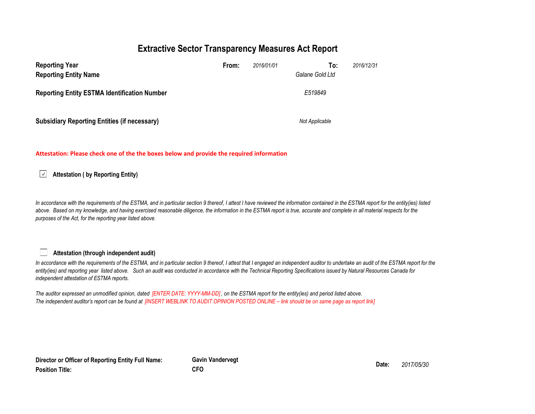## Extractive Sector Transparency Measures Act Report

| <b>Reporting Year</b><br><b>Reporting Entity Name</b> | From: | 2016/01/01 | To:<br>2016/12/31<br>Galane Gold Ltd |
|-------------------------------------------------------|-------|------------|--------------------------------------|
| <b>Reporting Entity ESTMA Identification Number</b>   |       |            | E519849                              |
| <b>Subsidiary Reporting Entities (if necessary)</b>   |       |            | Not Applicable                       |

#### Attestation: Please check one of the the boxes below and provide the required information

 $\boxed{\smile}$  Attestation ( by Reporting Entity)

In accordance with the requirements of the ESTMA, and in particular section 9 thereof, I attest I have reviewed the information contained in the ESTMA report for the entity(ies) listed above. Based on my knowledge, and having exercised reasonable diligence, the information in the ESTMA report is true, accurate and complete in all material respects for the purposes of the Act, for the reporting year listed above.

### Attestation (through independent audit)

In accordance with the requirements of the ESTMA, and in particular section 9 thereof, I attest that I engaged an independent auditor to undertake an audit of the ESTMA report for the entity(ies) and reporting year listed above. Such an audit was conducted in accordance with the Technical Reporting Specifications issued by Natural Resources Canada for independent attestation of ESTMA reports.

The auditor expressed an unmodified opinion, dated [ENTER DATE: YYYY-MM-DD], on the ESTMA report for the entity(ies) and period listed above. The independent auditor's report can be found at [INSERT WEBLINK TO AUDIT OPINION POSTED ONLINE – link should be on same page as report link]

Director or Officer of Reporting Entity Full Name: Position Title:

Gavin Vandervegt Date: 2017/05/30 CFO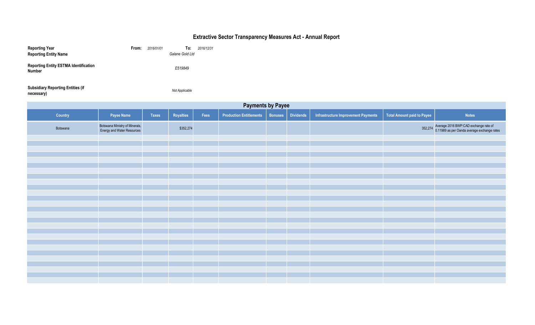# Extractive Sector Transparency Measures Act - Annual Report

| <b>Reporting Year</b><br><b>Reporting Entity Name</b>  | From: | 2016/01/01 | To:<br>Galane Gold Ltd | 2016/12/31 |
|--------------------------------------------------------|-------|------------|------------------------|------------|
| <b>Reporting Entity ESTMA Identification</b><br>Number |       |            | E519849                |            |
| <b>Subsidiary Reporting Entities (if</b><br>necessary) |       |            | Not Applicable         |            |

| <b>Payments by Payee</b> |                                                              |              |           |      |                                |         |                  |                                     |                                   |                                                                                              |
|--------------------------|--------------------------------------------------------------|--------------|-----------|------|--------------------------------|---------|------------------|-------------------------------------|-----------------------------------|----------------------------------------------------------------------------------------------|
| Country                  | Payee Name                                                   | <b>Taxes</b> | Royalties | Fees | <b>Production Entitlements</b> | Bonuses | <b>Dividends</b> | Infrastructure Improvement Payments | <b>Total Amount paid to Payee</b> | <b>Notes</b>                                                                                 |
| Botswana                 | Botswana Ministry of Minerals,<br>Energy and Water Resources |              | \$352,274 |      |                                |         |                  |                                     |                                   | 352,274 Average 2016 BWP:CAD exchange rate of<br>0.11989 as per Oanda average exchange rates |
|                          |                                                              |              |           |      |                                |         |                  |                                     |                                   |                                                                                              |
|                          |                                                              |              |           |      |                                |         |                  |                                     |                                   |                                                                                              |
|                          |                                                              |              |           |      |                                |         |                  |                                     |                                   |                                                                                              |
|                          |                                                              |              |           |      |                                |         |                  |                                     |                                   |                                                                                              |
|                          |                                                              |              |           |      |                                |         |                  |                                     |                                   |                                                                                              |
|                          |                                                              |              |           |      |                                |         |                  |                                     |                                   |                                                                                              |
|                          |                                                              |              |           |      |                                |         |                  |                                     |                                   |                                                                                              |
|                          |                                                              |              |           |      |                                |         |                  |                                     |                                   |                                                                                              |
|                          |                                                              |              |           |      |                                |         |                  |                                     |                                   |                                                                                              |
|                          |                                                              |              |           |      |                                |         |                  |                                     |                                   |                                                                                              |
|                          |                                                              |              |           |      |                                |         |                  |                                     |                                   |                                                                                              |
|                          |                                                              |              |           |      |                                |         |                  |                                     |                                   |                                                                                              |
|                          |                                                              |              |           |      |                                |         |                  |                                     |                                   |                                                                                              |
|                          |                                                              |              |           |      |                                |         |                  |                                     |                                   |                                                                                              |
|                          |                                                              |              |           |      |                                |         |                  |                                     |                                   |                                                                                              |
|                          |                                                              |              |           |      |                                |         |                  |                                     |                                   |                                                                                              |
|                          |                                                              |              |           |      |                                |         |                  |                                     |                                   |                                                                                              |
|                          |                                                              |              |           |      |                                |         |                  |                                     |                                   |                                                                                              |
|                          |                                                              |              |           |      |                                |         |                  |                                     |                                   |                                                                                              |
|                          |                                                              |              |           |      |                                |         |                  |                                     |                                   |                                                                                              |
|                          |                                                              |              |           |      |                                |         |                  |                                     |                                   |                                                                                              |
|                          |                                                              |              |           |      |                                |         |                  |                                     |                                   |                                                                                              |
|                          |                                                              |              |           |      |                                |         |                  |                                     |                                   |                                                                                              |
|                          |                                                              |              |           |      |                                |         |                  |                                     |                                   |                                                                                              |